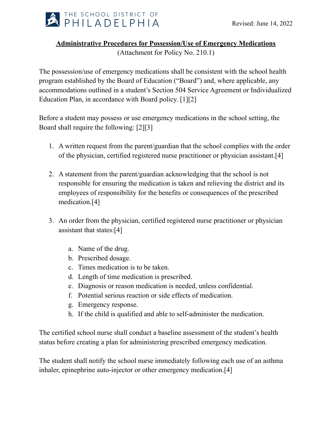

## **Administrative Procedures for Possession/Use of Emergency Medications**

(Attachment for Policy No. 210.1)

The possession/use of emergency medications shall be consistent with the school health program established by the Board of Education ("Board") and, where applicable, any accommodations outlined in a student's Section 504 Service Agreement or Individualized Education Plan, in accordance with Board policy. [1][2]

Before a student may possess or use emergency medications in the school setting, the Board shall require the following: [2][3]

- 1. A written request from the parent/guardian that the school complies with the order of the physician, certified registered nurse practitioner or physician assistant.[4]
- 2. A statement from the parent/guardian acknowledging that the school is not responsible for ensuring the medication is taken and relieving the district and its employees of responsibility for the benefits or consequences of the prescribed medication.[4]
- 3. An order from the physician, certified registered nurse practitioner or physician assistant that states:[4]
	- a. Name of the drug.
	- b. Prescribed dosage.
	- c. Times medication is to be taken.
	- d. Length of time medication is prescribed.
	- e. Diagnosis or reason medication is needed, unless confidential.
	- f. Potential serious reaction or side effects of medication.
	- g. Emergency response.
	- h. If the child is qualified and able to self-administer the medication.

The certified school nurse shall conduct a baseline assessment of the student's health status before creating a plan for administering prescribed emergency medication.

The student shall notify the school nurse immediately following each use of an asthma inhaler, epinephrine auto-injector or other emergency medication.[4]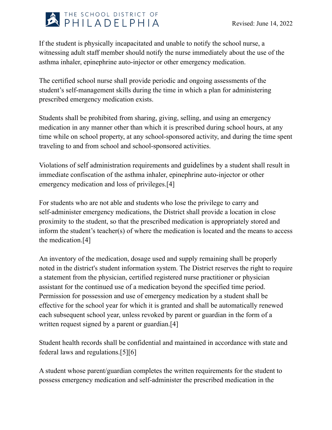

If the student is physically incapacitated and unable to notify the school nurse, a witnessing adult staff member should notify the nurse immediately about the use of the asthma inhaler, epinephrine auto-injector or other emergency medication.

The certified school nurse shall provide periodic and ongoing assessments of the student's self-management skills during the time in which a plan for administering prescribed emergency medication exists.

Students shall be prohibited from sharing, giving, selling, and using an emergency medication in any manner other than which it is prescribed during school hours, at any time while on school property, at any school-sponsored activity, and during the time spent traveling to and from school and school-sponsored activities.

Violations of self administration requirements and guidelines by a student shall result in immediate confiscation of the asthma inhaler, epinephrine auto-injector or other emergency medication and loss of privileges.[4]

For students who are not able and students who lose the privilege to carry and self-administer emergency medications, the District shall provide a location in close proximity to the student, so that the prescribed medication is appropriately stored and inform the student's teacher(s) of where the medication is located and the means to access the medication.[4]

An inventory of the medication, dosage used and supply remaining shall be properly noted in the district's student information system. The District reserves the right to require a statement from the physician, certified registered nurse practitioner or physician assistant for the continued use of a medication beyond the specified time period. Permission for possession and use of emergency medication by a student shall be effective for the school year for which it is granted and shall be automatically renewed each subsequent school year, unless revoked by parent or guardian in the form of a written request signed by a parent or guardian.<sup>[4]</sup>

Student health records shall be confidential and maintained in accordance with state and federal laws and regulations.[5][6]

A student whose parent/guardian completes the written requirements for the student to possess emergency medication and self-administer the prescribed medication in the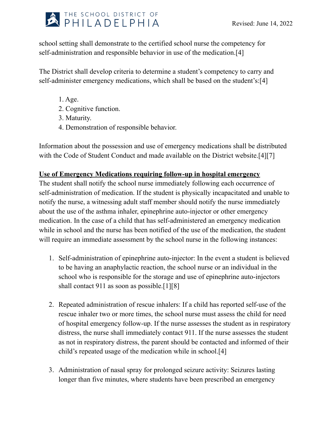

school setting shall demonstrate to the certified school nurse the competency for self-administration and responsible behavior in use of the medication.[4]

The District shall develop criteria to determine a student's competency to carry and self-administer emergency medications, which shall be based on the student's:[4]

- 1. Age.
- 2. Cognitive function.
- 3. Maturity.
- 4. Demonstration of responsible behavior.

Information about the possession and use of emergency medications shall be distributed with the Code of Student Conduct and made available on the District website.[4][7]

## **Use of Emergency Medications requiring follow-up in hospital emergency**

The student shall notify the school nurse immediately following each occurrence of self-administration of medication. If the student is physically incapacitated and unable to notify the nurse, a witnessing adult staff member should notify the nurse immediately about the use of the asthma inhaler, epinephrine auto-injector or other emergency medication. In the case of a child that has self-administered an emergency medication while in school and the nurse has been notified of the use of the medication, the student will require an immediate assessment by the school nurse in the following instances:

- 1. Self-administration of epinephrine auto-injector: In the event a student is believed to be having an anaphylactic reaction, the school nurse or an individual in the school who is responsible for the storage and use of epinephrine auto-injectors shall contact 911 as soon as possible.<sup>[1][8]</sup>
- 2. Repeated administration of rescue inhalers: If a child has reported self-use of the rescue inhaler two or more times, the school nurse must assess the child for need of hospital emergency follow-up. If the nurse assesses the student as in respiratory distress, the nurse shall immediately contact 911. If the nurse assesses the student as not in respiratory distress, the parent should be contacted and informed of their child's repeated usage of the medication while in school.[4]
- 3. Administration of nasal spray for prolonged seizure activity: Seizures lasting longer than five minutes, where students have been prescribed an emergency